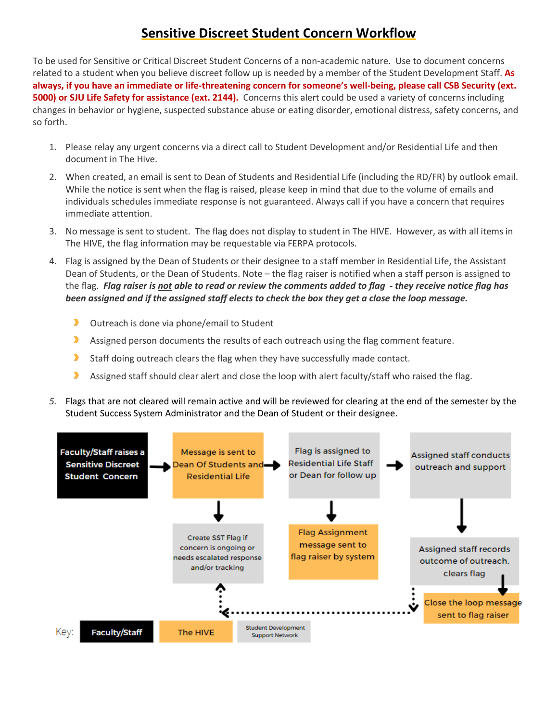## **Sensitive Discreet Student Concern Workflow**

To be used for Sensitive or Critical Discreet Student Concerns of a non-academic nature. Use to document concerns related to a student when you believe discreet follow up is needed by a member of the Student Development Staff. **As always, if you have an immediate or life-threatening concern for someone's well-being, please call CSB Security (ext. 5000) or SJU Life Safety for assistance (ext. 2144).** Concerns this alert could be used a variety of concerns including changes in behavior or hygiene, suspected substance abuse or eating disorder, emotional distress, safety concerns, and so forth.

- 1. Please relay any urgent concerns via a direct call to Student Development and/or Residential Life and then document in The Hive.
- 2. When created, an email is sent to Dean of Students and Residential Life (including the RD/FR) by outlook email. While the notice is sent when the flag is raised, please keep in mind that due to the volume of emails and individuals schedules immediate response is not guaranteed. Always call if you have a concern that requires immediate attention.
- 3. No message is sent to student. The flag does not display to student in The HIVE. However, as with all items in The HIVE, the flag information may be requestable via FERPA protocols.
- 4. Flag is assigned by the Dean of Students or their designee to a staff member in Residential Life, the Assistant Dean of Students, or the Dean of Students. Note – the flag raiser is notified when a staff person is assigned to the flag. *Flag raiser is not able to read or review the comments added to flag - they receive notice flag has been assigned and if the assigned staff elects to check the box they get a close the loop message.*
	- э. Outreach is done via phone/email to Student
	- $\blacktriangleright$ Assigned person documents the results of each outreach using the flag comment feature.
	- э. Staff doing outreach clears the flag when they have successfully made contact.
	- э Assigned staff should clear alert and close the loop with alert faculty/staff who raised the flag.
- *5.* Flags that are not cleared will remain active and will be reviewed for clearing at the end of the semester by the Student Success System Administrator and the Dean of Student or their designee.